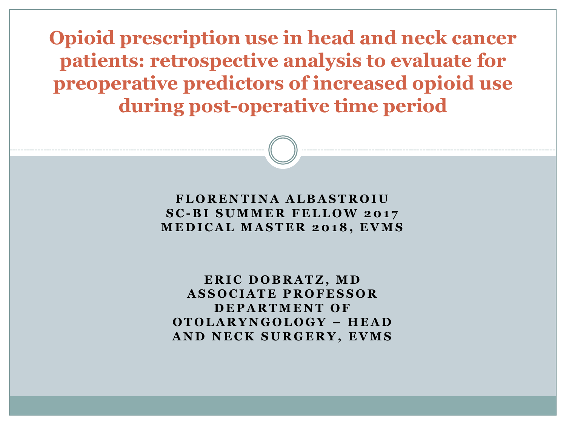**Opioid prescription use in head and neck cancer patients: retrospective analysis to evaluate for preoperative predictors of increased opioid use during post-operative time period** 

#### **F L O R E N T I N A A L B A S T R O I U S C - B I S U M M E R F E L L O W 2 0 1 7 M E D I C A L M A S T E R 2 0 1 8 , E V M S**

**E R I C D O B R A T Z , M D A S S O C I A T E P R O F E S S O R D E P A R T M E N T O F O T O L A R Y N G O L O G Y – H E A D A N D N E C K S U R G E R Y , E V M S**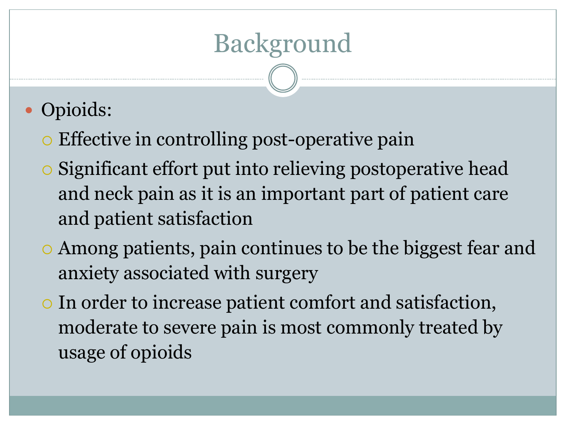## Background

- Opioids:
	- Effective in controlling post-operative pain
	- Significant effort put into relieving postoperative head and neck pain as it is an important part of patient care and patient satisfaction
	- Among patients, pain continues to be the biggest fear and anxiety associated with surgery
	- In order to increase patient comfort and satisfaction, moderate to severe pain is most commonly treated by usage of opioids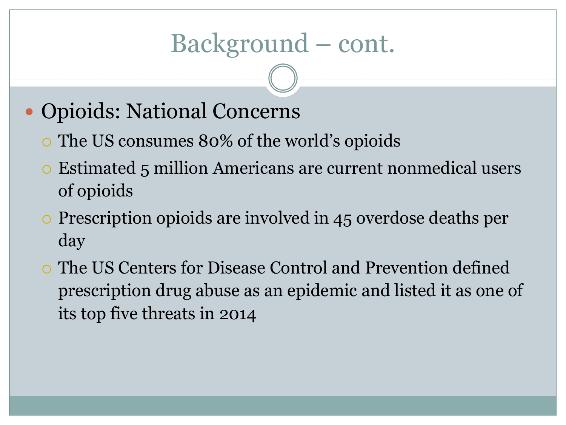#### Background – cont.

- Opioids: National Concerns
	- The US consumes 80% of the world's opioids
	- Estimated 5 million Americans are current nonmedical users of opioids
	- Prescription opioids are involved in 45 overdose deaths per day
	- The US Centers for Disease Control and Prevention defined prescription drug abuse as an epidemic and listed it as one of its top five threats in 2014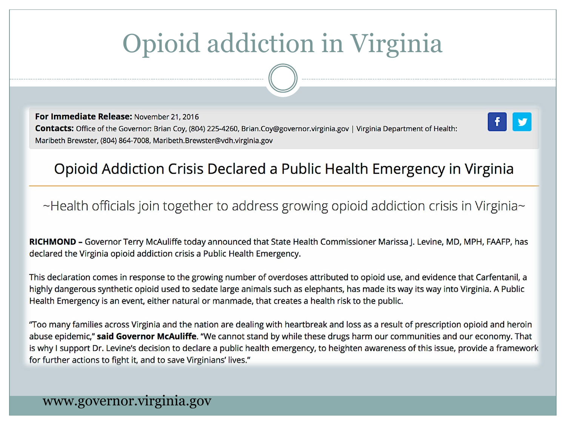# Opioid addiction in Virginia

For Immediate Release: November 21, 2016 Contacts: Office of the Governor: Brian Coy, (804) 225-4260, Brian.Coy@governor.virginia.gov | Virginia Department of Health: Maribeth Brewster, (804) 864-7008, Maribeth.Brewster@vdh.virginia.gov



#### Opioid Addiction Crisis Declared a Public Health Emergency in Virginia

~Health officials join together to address growing opioid addiction crisis in Virginia~

RICHMOND - Governor Terry McAuliffe today announced that State Health Commissioner Marissa J. Levine, MD, MPH, FAAFP, has declared the Virginia opioid addiction crisis a Public Health Emergency.

This declaration comes in response to the growing number of overdoses attributed to opioid use, and evidence that Carfentanil, a highly dangerous synthetic opioid used to sedate large animals such as elephants, has made its way its way into Virginia. A Public Health Emergency is an event, either natural or manmade, that creates a health risk to the public.

"Too many families across Virginia and the nation are dealing with heartbreak and loss as a result of prescription opioid and heroin abuse epidemic," said Governor McAuliffe. "We cannot stand by while these drugs harm our communities and our economy. That is why I support Dr. Levine's decision to declare a public health emergency, to heighten awareness of this issue, provide a framework for further actions to fight it, and to save Virginians' lives."

#### www.governor.virginia.gov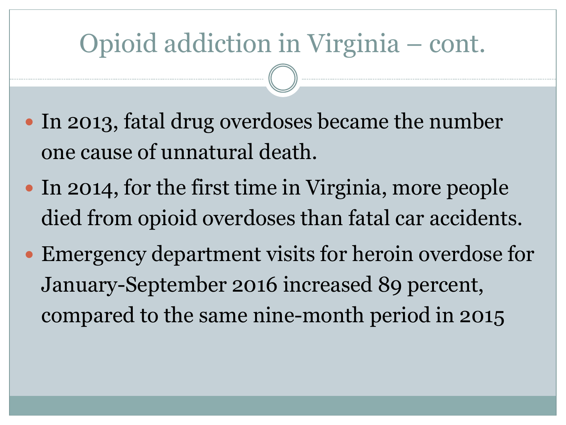### Opioid addiction in Virginia – cont.

- In 2013, fatal drug overdoses became the number one cause of unnatural death.
- In 2014, for the first time in Virginia, more people died from opioid overdoses than fatal car accidents.
- Emergency department visits for heroin overdose for January-September 2016 increased 89 percent, compared to the same nine-month period in 2015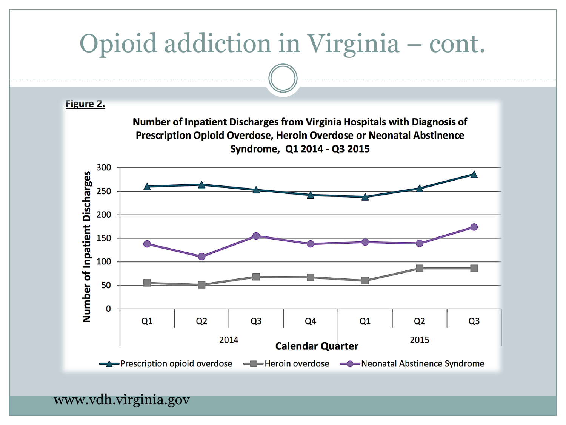

www.vdh.virginia.gov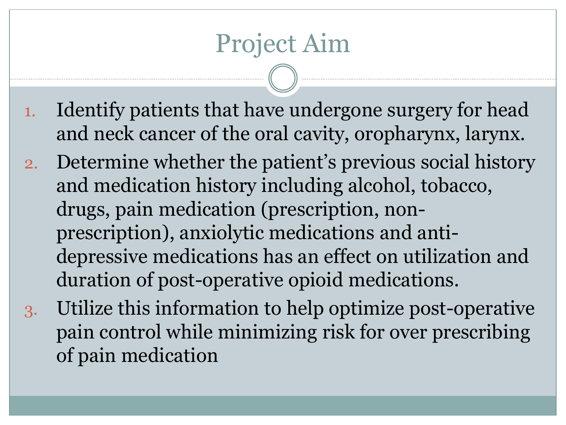### Project Aim

- 1. Identify patients that have undergone surgery for head and neck cancer of the oral cavity, oropharynx, larynx.
- 2. Determine whether the patient's previous social history and medication history including alcohol, tobacco, drugs, pain medication (prescription, nonprescription), anxiolytic medications and antidepressive medications has an effect on utilization and duration of post-operative opioid medications.
- 3. Utilize this information to help optimize post-operative pain control while minimizing risk for over prescribing of pain medication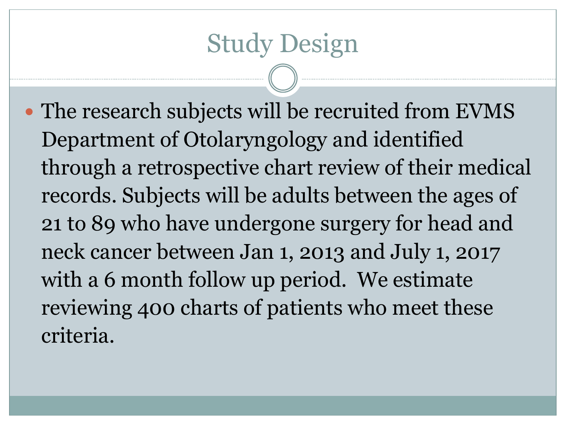The research subjects will be recruited from EVMS Department of Otolaryngology and identified through a retrospective chart review of their medical records. Subjects will be adults between the ages of 21 to 89 who have undergone surgery for head and neck cancer between Jan 1, 2013 and July 1, 2017 with a 6 month follow up period. We estimate reviewing 400 charts of patients who meet these criteria.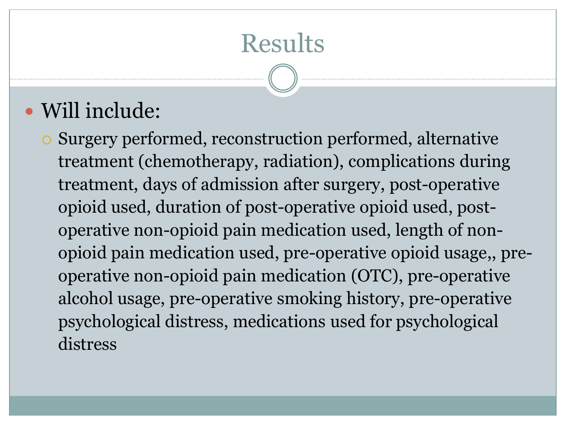### **Results**

#### Will include:

 Surgery performed, reconstruction performed, alternative treatment (chemotherapy, radiation), complications during treatment, days of admission after surgery, post-operative opioid used, duration of post-operative opioid used, postoperative non-opioid pain medication used, length of nonopioid pain medication used, pre-operative opioid usage,, preoperative non-opioid pain medication (OTC), pre-operative alcohol usage, pre-operative smoking history, pre-operative psychological distress, medications used for psychological distress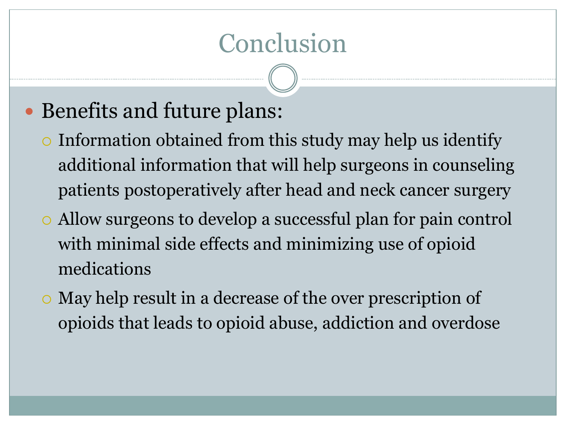#### Conclusion

#### • Benefits and future plans:

- Information obtained from this study may help us identify additional information that will help surgeons in counseling patients postoperatively after head and neck cancer surgery
- Allow surgeons to develop a successful plan for pain control with minimal side effects and minimizing use of opioid medications
- May help result in a decrease of the over prescription of opioids that leads to opioid abuse, addiction and overdose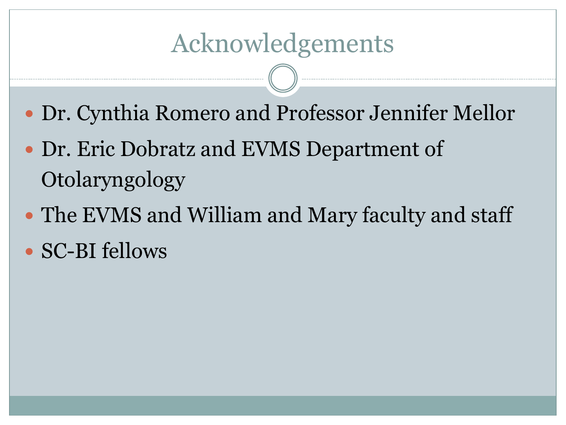- Dr. Cynthia Romero and Professor Jennifer Mellor
- Dr. Eric Dobratz and EVMS Department of Otolaryngology
- The EVMS and William and Mary faculty and staff • SC-BI fellows